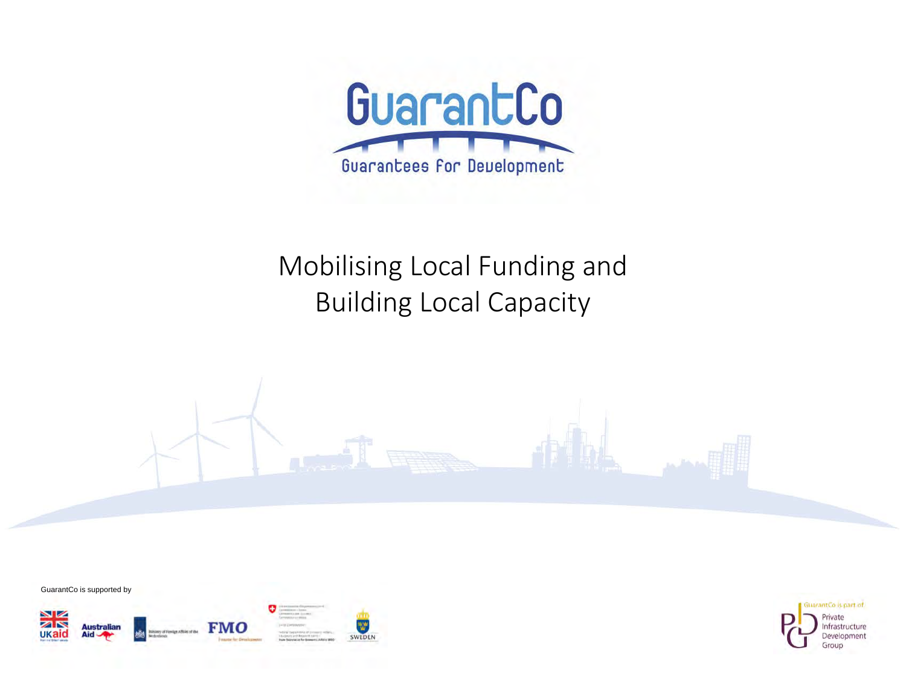

## Mobilising Local Funding and Building Local Capacity





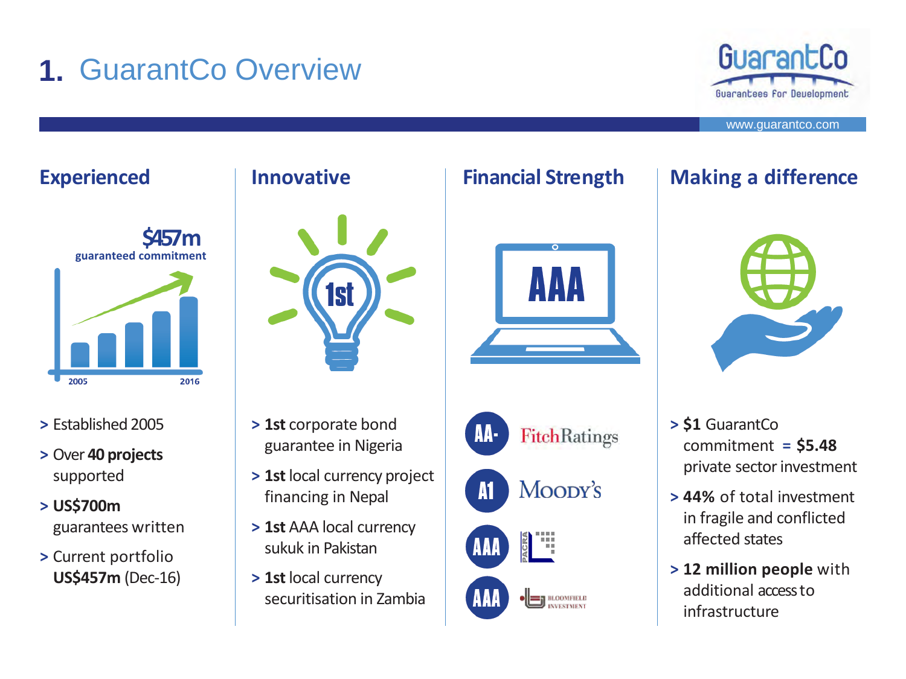# **1.** GuarantCo Overview





- **>** Established 2005
- **>** Over **40 projects** supported
- **> US\$700m**  guarantees written
- **>** Current portfolio **US\$457m** (Dec-16)



- **> 1st** corporate bond guarantee in Nigeria
- **> 1st** local currency project financing in Nepal
- **> 1st** AAA local currency sukuk in Pakistan
- **> 1st** local currency securitisation in Zambia





## **Experienced Innovative Financial Strength Making a difference**



- **> \$1** GuarantCo commitment **= \$5.48**  private sector investment
- **> 44%** of total investment in fragile and conflicted affected states
- **> 12 million people** with additional access to infrastructure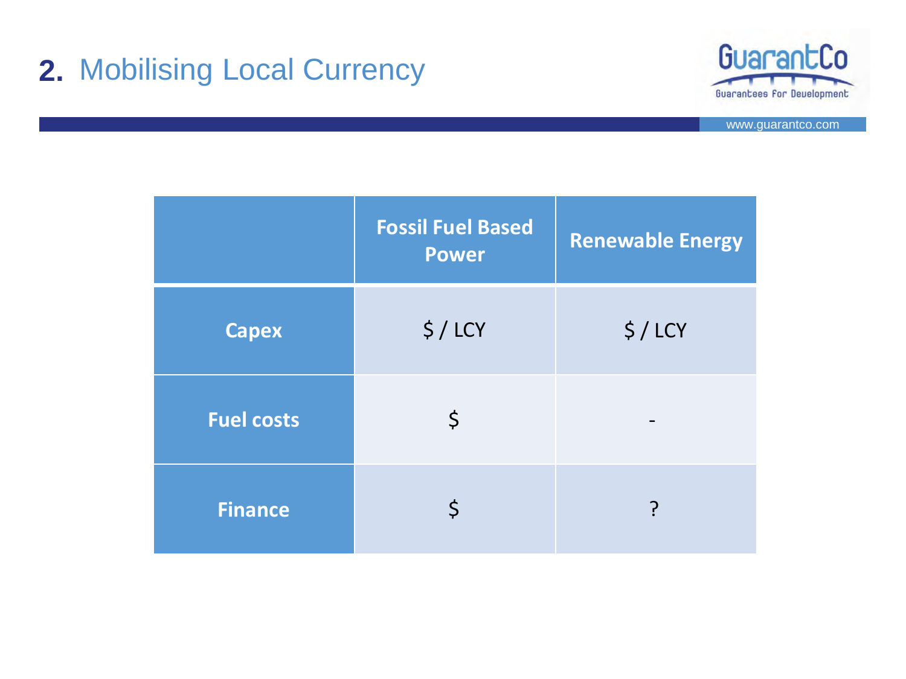# **2.** Mobilising Local Currency



|                   | <b>Fossil Fuel Based</b><br><b>Power</b> | <b>Renewable Energy</b> |
|-------------------|------------------------------------------|-------------------------|
| <b>Capex</b>      | $$/$ LCY                                 | $$/$ LCY                |
| <b>Fuel costs</b> | \$                                       |                         |
| <b>Finance</b>    | \$                                       | ?                       |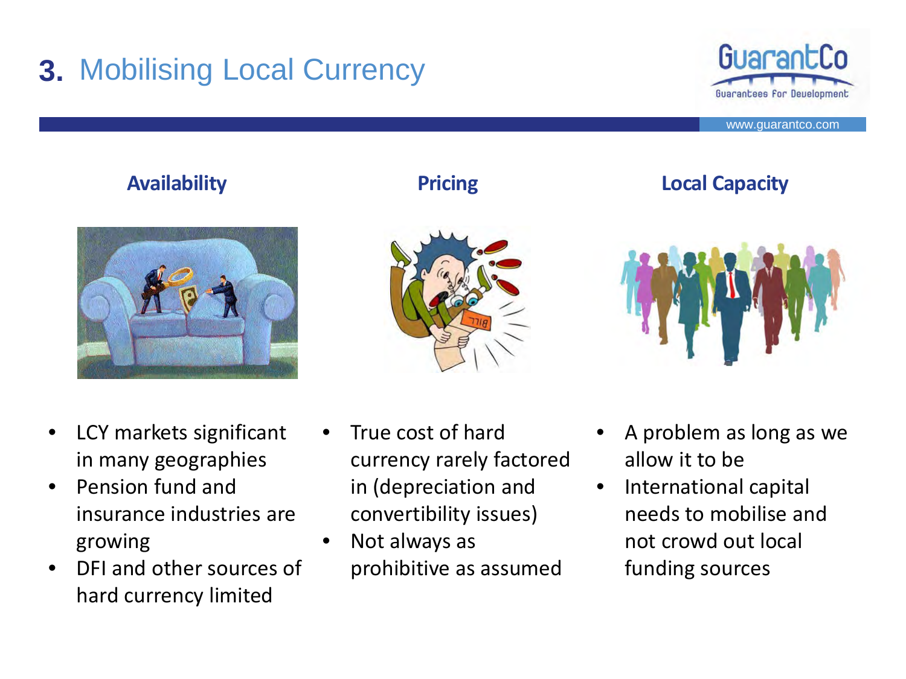# **3.** Mobilising Local Currency



www.guarantco.com

### **Availability Pricing**





### **Local Capacity**



- LCY markets significant in many geographies
- Pension fund and insurance industries are growing
- DFI and other sources of hard currency limited
- True cost of hard currency rarely factored in (depreciation and convertibility issues)
- Not always as prohibitive as assumed
- A problem as long as we allow it to be
- International capital needs to mobilise and not crowd out local funding sources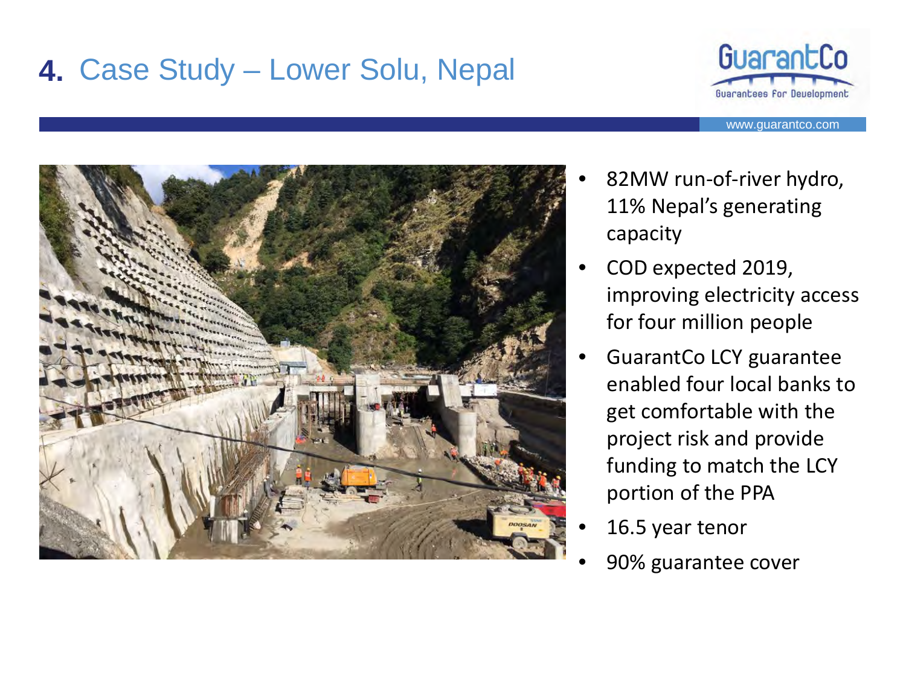# **4.** Case Study – Lower Solu, Nepal





- 82MW run-of-river hydro, 11% Nepal's generating capacity
- COD expected 2019, improving electricity access for four million people
- GuarantCo LCY guarantee enabled four local banks to get comfortable with the project risk and provide funding to match the LCY portion of the PPA
- 16.5 year tenor
- 90% guarantee cover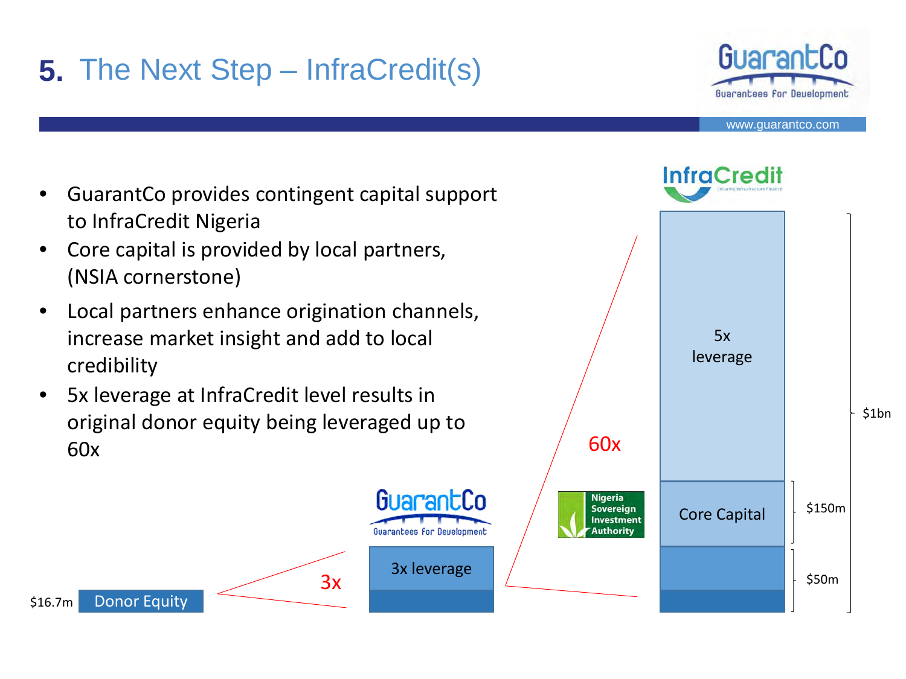# **5.** The Next Step – InfraCredit(s)



- GuarantCo provides contingent capital support to InfraCredit Nigeria
- Core capital is provided by local partners, (NSIA cornerstone)
- Local partners enhance origination channels, increase market insight and add to local credibility
- 5x leverage at InfraCredit level results in original donor equity being leveraged up to 60x

GuarantCo

antees for Developmen

Donor Equity

\$16.7m

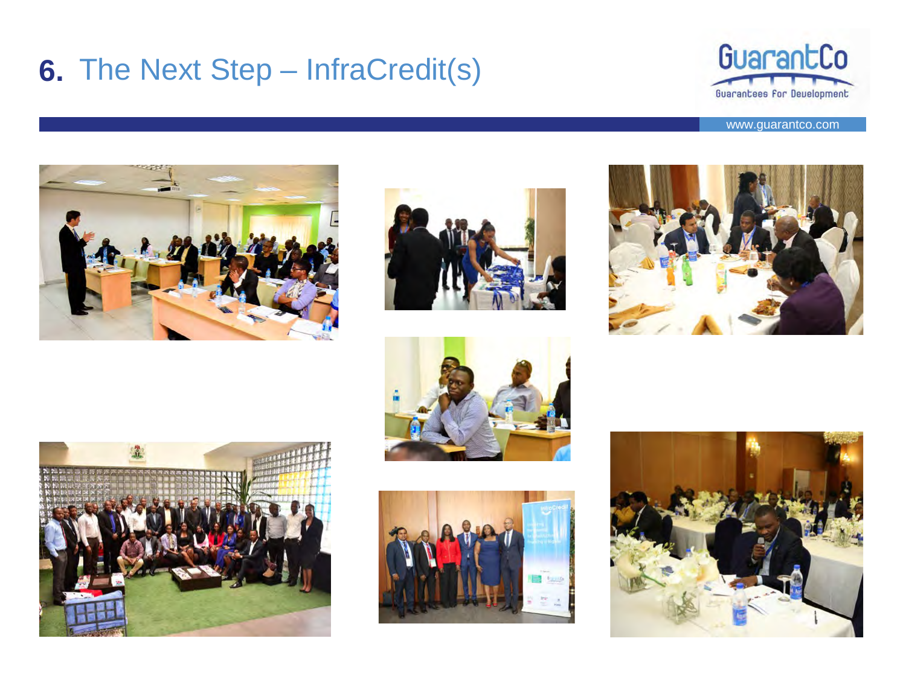## **6.** The Next Step – InfraCredit(s)